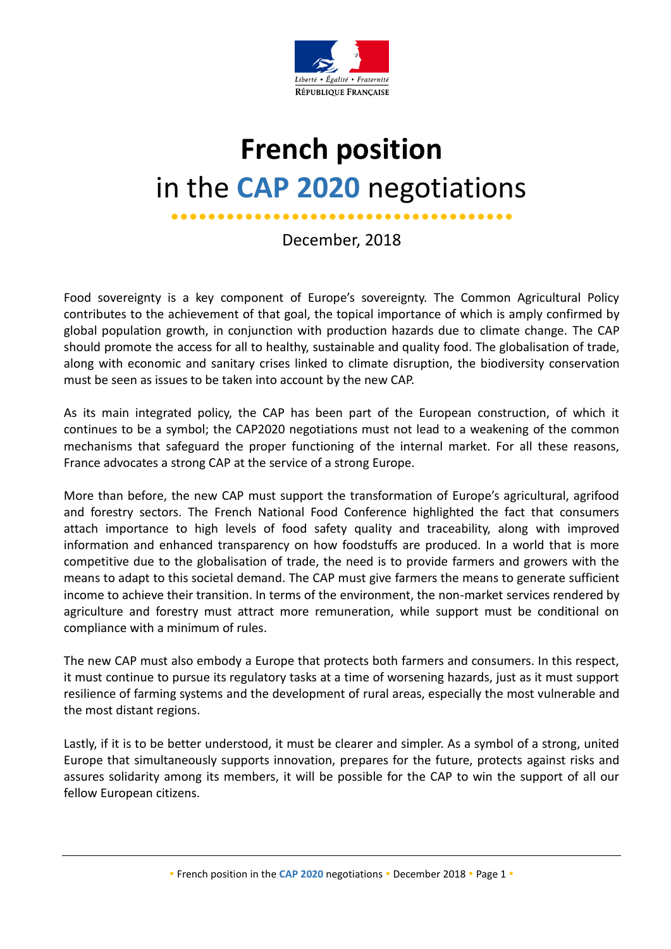

# **French position** in the **CAP 2020** negotiations

December, 2018

Food sovereignty is a key component of Europe's sovereignty. The Common Agricultural Policy contributes to the achievement of that goal, the topical importance of which is amply confirmed by global population growth, in conjunction with production hazards due to climate change. The CAP should promote the access for all to healthy, sustainable and quality food. The globalisation of trade, along with economic and sanitary crises linked to climate disruption, the biodiversity conservation must be seen as issues to be taken into account by the new CAP.

As its main integrated policy, the CAP has been part of the European construction, of which it continues to be a symbol; the CAP2020 negotiations must not lead to a weakening of the common mechanisms that safeguard the proper functioning of the internal market. For all these reasons, France advocates a strong CAP at the service of a strong Europe.

More than before, the new CAP must support the transformation of Europe's agricultural, agrifood and forestry sectors. The French National Food Conference highlighted the fact that consumers attach importance to high levels of food safety quality and traceability, along with improved information and enhanced transparency on how foodstuffs are produced. In a world that is more competitive due to the globalisation of trade, the need is to provide farmers and growers with the means to adapt to this societal demand. The CAP must give farmers the means to generate sufficient income to achieve their transition. In terms of the environment, the non-market services rendered by agriculture and forestry must attract more remuneration, while support must be conditional on compliance with a minimum of rules.

The new CAP must also embody a Europe that protects both farmers and consumers. In this respect, it must continue to pursue its regulatory tasks at a time of worsening hazards, just as it must support resilience of farming systems and the development of rural areas, especially the most vulnerable and the most distant regions.

Lastly, if it is to be better understood, it must be clearer and simpler. As a symbol of a strong, united Europe that simultaneously supports innovation, prepares for the future, protects against risks and assures solidarity among its members, it will be possible for the CAP to win the support of all our fellow European citizens.

<sup>•</sup> French position in the CAP 2020 negotiations • December 2018 • Page 1 •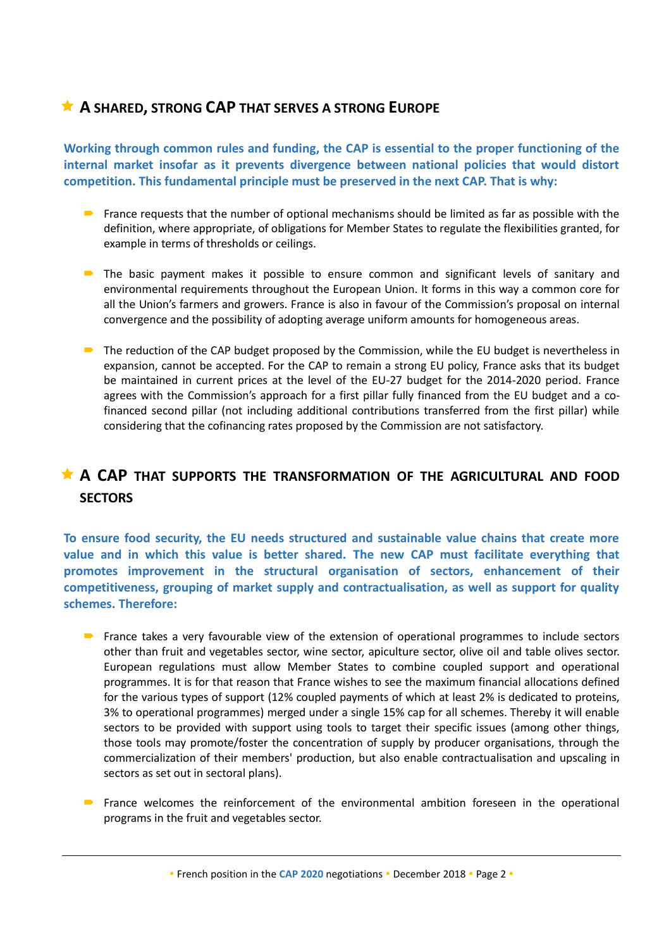#### **A SHARED, STRONG CAP THAT SERVES A STRONG EUROPE**

**Working through common rules and funding, the CAP is essential to the proper functioning of the internal market insofar as it prevents divergence between national policies that would distort competition. This fundamental principle must be preserved in the next CAP. That is why:**

- **France requests that the number of optional mechanisms should be limited as far as possible with the** definition, where appropriate, of obligations for Member States to regulate the flexibilities granted, for example in terms of thresholds or ceilings.
- **•** The basic payment makes it possible to ensure common and significant levels of sanitary and environmental requirements throughout the European Union. It forms in this way a common core for all the Union's farmers and growers. France is also in favour of the Commission's proposal on internal convergence and the possibility of adopting average uniform amounts for homogeneous areas.
- The reduction of the CAP budget proposed by the Commission, while the EU budget is nevertheless in expansion, cannot be accepted. For the CAP to remain a strong EU policy, France asks that its budget be maintained in current prices at the level of the EU-27 budget for the 2014-2020 period. France agrees with the Commission's approach for a first pillar fully financed from the EU budget and a cofinanced second pillar (not including additional contributions transferred from the first pillar) while considering that the cofinancing rates proposed by the Commission are not satisfactory.

## **A CAP THAT SUPPORTS THE TRANSFORMATION OF THE AGRICULTURAL AND FOOD SECTORS**

**To ensure food security, the EU needs structured and sustainable value chains that create more value and in which this value is better shared. The new CAP must facilitate everything that promotes improvement in the structural organisation of sectors, enhancement of their competitiveness, grouping of market supply and contractualisation, as well as support for quality schemes. Therefore:**

- **•** France takes a very favourable view of the extension of operational programmes to include sectors other than fruit and vegetables sector, wine sector, apiculture sector, olive oil and table olives sector. European regulations must allow Member States to combine coupled support and operational programmes. It is for that reason that France wishes to see the maximum financial allocations defined for the various types of support (12% coupled payments of which at least 2% is dedicated to proteins, 3% to operational programmes) merged under a single 15% cap for all schemes. Thereby it will enable sectors to be provided with support using tools to target their specific issues (among other things, those tools may promote/foster the concentration of supply by producer organisations, through the commercialization of their members' production, but also enable contractualisation and upscaling in sectors as set out in sectoral plans).
- France welcomes the reinforcement of the environmental ambition foreseen in the operational programs in the fruit and vegetables sector.

• French position in the CAP 2020 negotiations • December 2018 • Page 2 •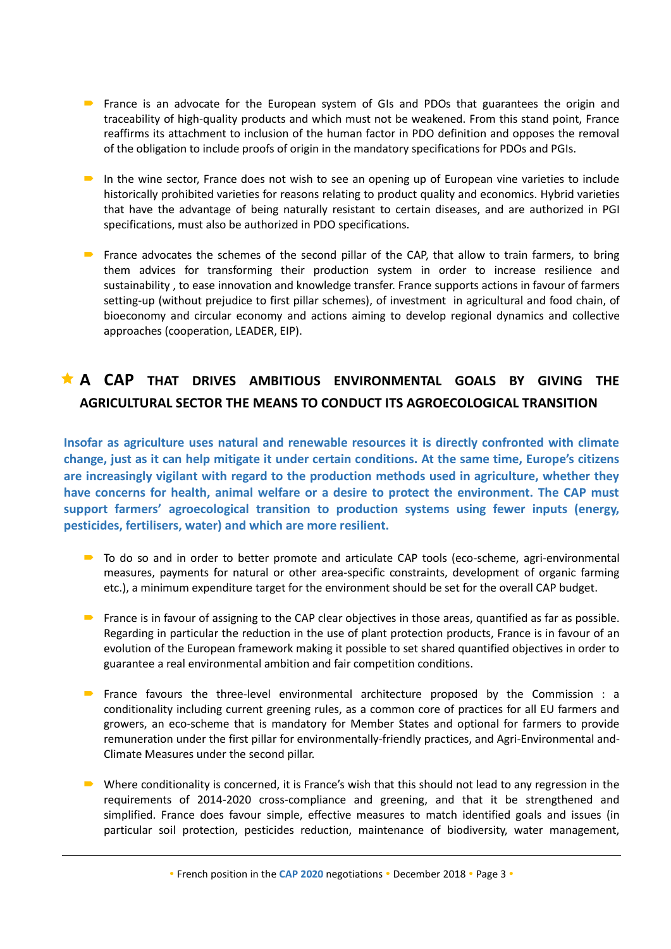- **•** France is an advocate for the European system of GIs and PDOs that guarantees the origin and traceability of high-quality products and which must not be weakened. From this stand point, France reaffirms its attachment to inclusion of the human factor in PDO definition and opposes the removal of the obligation to include proofs of origin in the mandatory specifications for PDOs and PGIs.
- In the wine sector, France does not wish to see an opening up of European vine varieties to include historically prohibited varieties for reasons relating to product quality and economics. Hybrid varieties that have the advantage of being naturally resistant to certain diseases, and are authorized in PGI specifications, must also be authorized in PDO specifications.
- **•** France advocates the schemes of the second pillar of the CAP, that allow to train farmers, to bring them advices for transforming their production system in order to increase resilience and sustainability , to ease innovation and knowledge transfer. France supports actions in favour of farmers setting-up (without prejudice to first pillar schemes), of investment in agricultural and food chain, of bioeconomy and circular economy and actions aiming to develop regional dynamics and collective approaches (cooperation, LEADER, EIP).

## **A CAP THAT DRIVES AMBITIOUS ENVIRONMENTAL GOALS BY GIVING THE AGRICULTURAL SECTOR THE MEANS TO CONDUCT ITS AGROECOLOGICAL TRANSITION**

**Insofar as agriculture uses natural and renewable resources it is directly confronted with climate change, just as it can help mitigate it under certain conditions. At the same time, Europe's citizens are increasingly vigilant with regard to the production methods used in agriculture, whether they have concerns for health, animal welfare or a desire to protect the environment. The CAP must support farmers' agroecological transition to production systems using fewer inputs (energy, pesticides, fertilisers, water) and which are more resilient.**

- To do so and in order to better promote and articulate CAP tools (eco-scheme, agri-environmental measures, payments for natural or other area-specific constraints, development of organic farming etc.), a minimum expenditure target for the environment should be set for the overall CAP budget.
- **•** France is in favour of assigning to the CAP clear objectives in those areas, quantified as far as possible. Regarding in particular the reduction in the use of plant protection products, France is in favour of an evolution of the European framework making it possible to set shared quantified objectives in order to guarantee a real environmental ambition and fair competition conditions.
- **•** France favours the three-level environmental architecture proposed by the Commission : a conditionality including current greening rules, as a common core of practices for all EU farmers and growers, an eco-scheme that is mandatory for Member States and optional for farmers to provide remuneration under the first pillar for environmentally-friendly practices, and Agri-Environmental and-Climate Measures under the second pillar.
- Where conditionality is concerned, it is France's wish that this should not lead to any regression in the requirements of 2014-2020 cross-compliance and greening, and that it be strengthened and simplified. France does favour simple, effective measures to match identified goals and issues (in particular soil protection, pesticides reduction, maintenance of biodiversity, water management,

• French position in the CAP 2020 negotiations • December 2018 • Page 3 •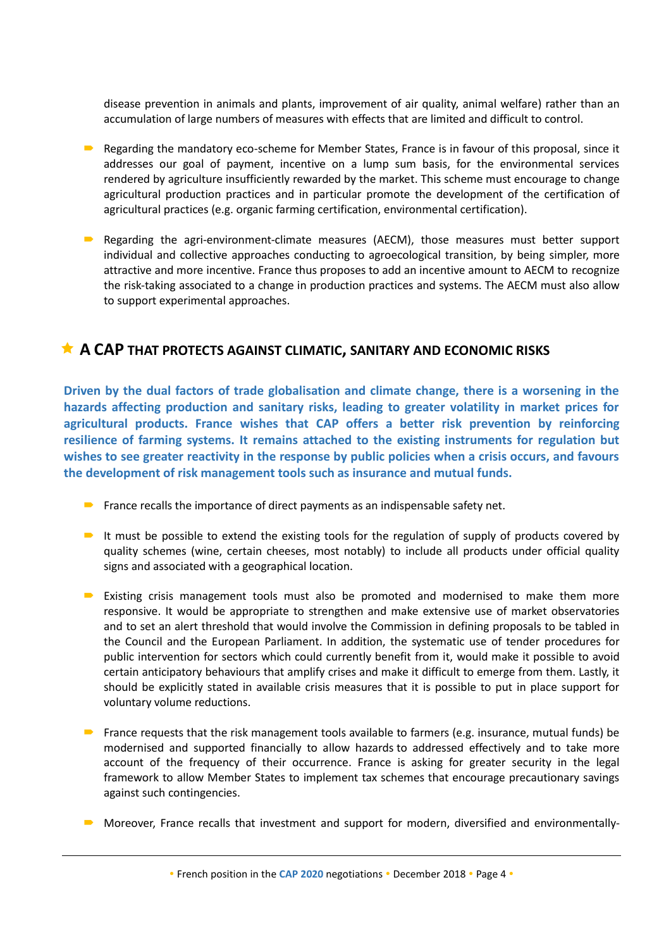disease prevention in animals and plants, improvement of air quality, animal welfare) rather than an accumulation of large numbers of measures with effects that are limited and difficult to control.

- Regarding the mandatory eco-scheme for Member States, France is in favour of this proposal, since it addresses our goal of payment, incentive on a lump sum basis, for the environmental services rendered by agriculture insufficiently rewarded by the market. This scheme must encourage to change agricultural production practices and in particular promote the development of the certification of agricultural practices (e.g. organic farming certification, environmental certification).
- **•** Regarding the agri-environment-climate measures (AECM), those measures must better support individual and collective approaches conducting to agroecological transition, by being simpler, more attractive and more incentive. France thus proposes to add an incentive amount to AECM to recognize the risk-taking associated to a change in production practices and systems. The AECM must also allow to support experimental approaches.

#### **A CAP THAT PROTECTS AGAINST CLIMATIC, SANITARY AND ECONOMIC RISKS**

**Driven by the dual factors of trade globalisation and climate change, there is a worsening in the hazards affecting production and sanitary risks, leading to greater volatility in market prices for agricultural products. France wishes that CAP offers a better risk prevention by reinforcing resilience of farming systems. It remains attached to the existing instruments for regulation but wishes to see greater reactivity in the response by public policies when a crisis occurs, and favours the development of risk management tools such as insurance and mutual funds.**

- **France recalls the importance of direct payments as an indispensable safety net.**
- It must be possible to extend the existing tools for the regulation of supply of products covered by quality schemes (wine, certain cheeses, most notably) to include all products under official quality signs and associated with a geographical location.
- **Existing crisis management tools must also be promoted and modernised to make them more** responsive. It would be appropriate to strengthen and make extensive use of market observatories and to set an alert threshold that would involve the Commission in defining proposals to be tabled in the Council and the European Parliament. In addition, the systematic use of tender procedures for public intervention for sectors which could currently benefit from it, would make it possible to avoid certain anticipatory behaviours that amplify crises and make it difficult to emerge from them. Lastly, it should be explicitly stated in available crisis measures that it is possible to put in place support for voluntary volume reductions.
- **France requests that the risk management tools available to farmers (e.g. insurance, mutual funds) be** modernised and supported financially to allow hazards to addressed effectively and to take more account of the frequency of their occurrence. France is asking for greater security in the legal framework to allow Member States to implement tax schemes that encourage precautionary savings against such contingencies.
- Moreover, France recalls that investment and support for modern, diversified and environmentally-

• French position in the CAP 2020 negotiations • December 2018 • Page 4 •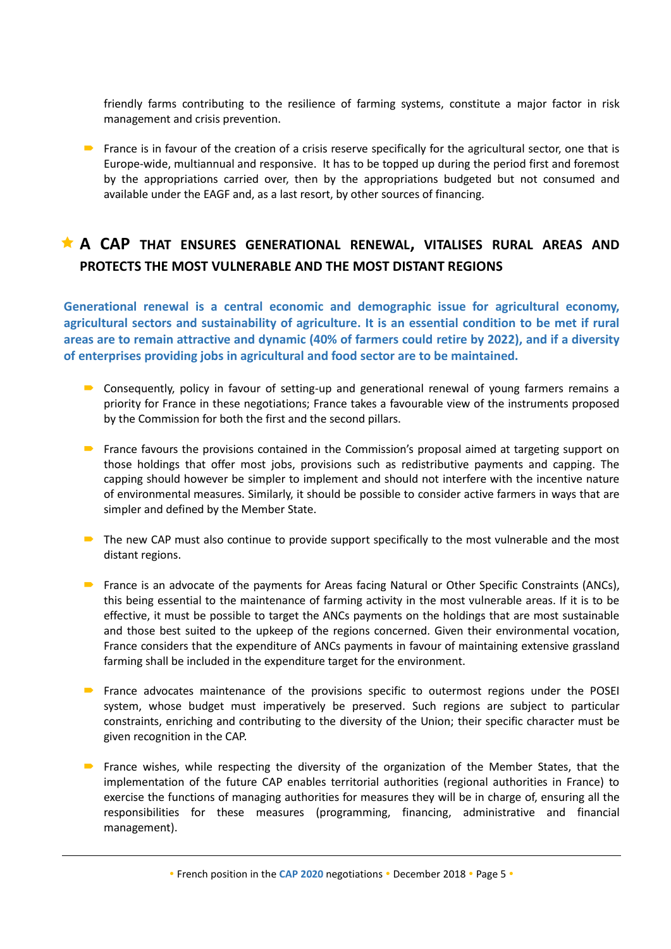friendly farms contributing to the resilience of farming systems, constitute a major factor in risk management and crisis prevention.

**France is in favour of the creation of a crisis reserve specifically for the agricultural sector, one that is** Europe-wide, multiannual and responsive. It has to be topped up during the period first and foremost by the appropriations carried over, then by the appropriations budgeted but not consumed and available under the EAGF and, as a last resort, by other sources of financing.

## **A CAP THAT ENSURES GENERATIONAL RENEWAL, VITALISES RURAL AREAS AND PROTECTS THE MOST VULNERABLE AND THE MOST DISTANT REGIONS**

**Generational renewal is a central economic and demographic issue for agricultural economy, agricultural sectors and sustainability of agriculture. It is an essential condition to be met if rural areas are to remain attractive and dynamic (40% of farmers could retire by 2022), and if a diversity of enterprises providing jobs in agricultural and food sector are to be maintained.** 

- **D** Consequently, policy in favour of setting-up and generational renewal of young farmers remains a priority for France in these negotiations; France takes a favourable view of the instruments proposed by the Commission for both the first and the second pillars.
- **•** France favours the provisions contained in the Commission's proposal aimed at targeting support on those holdings that offer most jobs, provisions such as redistributive payments and capping. The capping should however be simpler to implement and should not interfere with the incentive nature of environmental measures. Similarly, it should be possible to consider active farmers in ways that are simpler and defined by the Member State.
- $\blacksquare$  The new CAP must also continue to provide support specifically to the most vulnerable and the most distant regions.
- **•** France is an advocate of the payments for Areas facing Natural or Other Specific Constraints (ANCs), this being essential to the maintenance of farming activity in the most vulnerable areas. If it is to be effective, it must be possible to target the ANCs payments on the holdings that are most sustainable and those best suited to the upkeep of the regions concerned. Given their environmental vocation, France considers that the expenditure of ANCs payments in favour of maintaining extensive grassland farming shall be included in the expenditure target for the environment.
- **•** France advocates maintenance of the provisions specific to outermost regions under the POSEI system, whose budget must imperatively be preserved. Such regions are subject to particular constraints, enriching and contributing to the diversity of the Union; their specific character must be given recognition in the CAP.
- **•** France wishes, while respecting the diversity of the organization of the Member States, that the implementation of the future CAP enables territorial authorities (regional authorities in France) to exercise the functions of managing authorities for measures they will be in charge of, ensuring all the responsibilities for these measures (programming, financing, administrative and financial management).

• French position in the CAP 2020 negotiations • December 2018 • Page 5 •